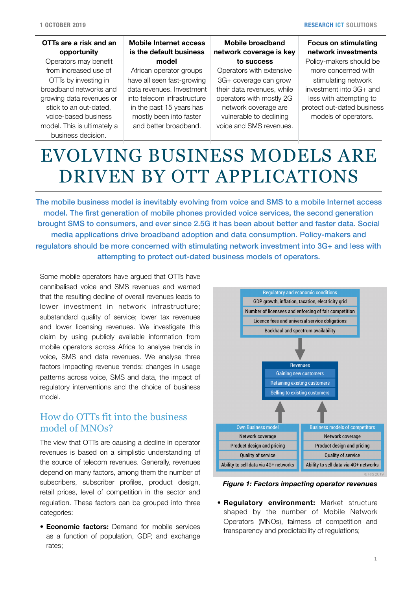#### **OTTs are a risk and an opportunity**

Operators may benefit from increased use of OTTs by investing in broadband networks and growing data revenues or stick to an out-dated, voice-based business model. This is ultimately a business decision.

#### **Mobile Internet access is the default business model**

African operator groups have all seen fast-growing data revenues. Investment into telecom infrastructure in the past 15 years has mostly been into faster and better broadband.

### **Mobile broadband network coverage is key to success**

Operators with extensive 3G+ coverage can grow their data revenues, while operators with mostly 2G network coverage are vulnerable to declining voice and SMS revenues.

## **Focus on stimulating network investments**

Policy-makers should be more concerned with stimulating network investment into 3G+ and less with attempting to protect out-dated business models of operators.

# EVOLVING BUSINESS MODELS ARE DRIVEN BY OTT APPLICATIONS

The mobile business model is inevitably evolving from voice and SMS to a mobile Internet access model. The first generation of mobile phones provided voice services, the second generation brought SMS to consumers, and ever since 2.5G it has been about better and faster data. Social media applications drive broadband adoption and data consumption. Policy-makers and regulators should be more concerned with stimulating network investment into 3G+ and less with attempting to protect out-dated business models of operators.

Some mobile operators have argued that OTTs have cannibalised voice and SMS revenues and warned that the resulting decline of overall revenues leads to lower investment in network infrastructure; substandard quality of service; lower tax revenues and lower licensing revenues. We investigate this claim by using publicly available information from mobile operators across Africa to analyse trends in voice, SMS and data revenues. We analyse three factors impacting revenue trends: changes in usage patterns across voice, SMS and data, the impact of regulatory interventions and the choice of business model.

## How do OTTs fit into the business model of MNOs?

The view that OTTs are causing a decline in operator revenues is based on a simplistic understanding of the source of telecom revenues. Generally, revenues depend on many factors, among them the number of subscribers, subscriber profiles, product design, retail prices, level of competition in the sector and regulation. These factors can be grouped into three categories:

• **Economic factors:** Demand for mobile services as a function of population, GDP, and exchange rates;



*Figure 1: Factors impacting operator revenues*

• **Regulatory environment:** Market structure shaped by the number of Mobile Network Operators (MNOs), fairness of competition and transparency and predictability of regulations;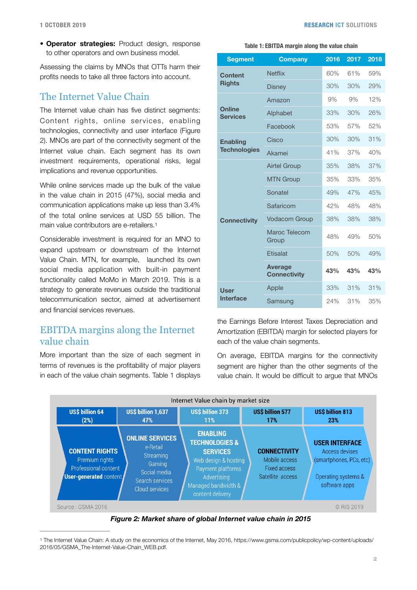• **Operator strategies:** Product design, response to other operators and own business model.

Assessing the claims by MNOs that OTTs harm their profits needs to take all three factors into account.

## The Internet Value Chain

The Internet value chain has five distinct segments: Content rights, online services, enabling technologies, connectivity and user interface (Figure 2). MNOs are part of the connectivity segment of the Internet value chain. Each segment has its own investment requirements, operational risks, legal implications and revenue opportunities.

While online services made up the bulk of the value in the value chain in 2015 (47%), social media and communication applications make up less than 3.4% of the total online services at USD 55 billion. The main value contributors are e-retailers.<sup>[1](#page-1-0)</sup>

Considerable investment is required for an MNO to expand upstream or downstream of the Internet Value Chain. MTN, for example, launched its own social media application with built-in payment functionality called MoMo in March 2019. This is a strategy to generate revenues outside the traditional telecommunication sector, aimed at advertisement and financial services revenues.

## EBITDA margins along the Internet value chain

More important than the size of each segment in terms of revenues is the profitability of major players in each of the value chain segments. Table 1 displays

#### **Table 1: EBITDA margin along the value chain**

| <b>Segment</b>                         | <b>Company</b>                        | 2016 | 2017 | 2018 |
|----------------------------------------|---------------------------------------|------|------|------|
| <b>Content</b><br><b>Rights</b>        | <b>Netflix</b>                        | 60%  | 61%  | 59%  |
|                                        | <b>Disney</b>                         | 30%  | 30%  | 29%  |
| <b>Online</b><br><b>Services</b>       | Amazon                                | 9%   | 9%   | 12%  |
|                                        | Alphabet                              | 33%  | 30%  | 26%  |
|                                        | Facebook                              | 53%  | 57%  | 52%  |
| <b>Enabling</b><br><b>Technologies</b> | Cisco                                 | 30%  | 30%  | 31%  |
|                                        | Akamei                                | 41%  | 37%  | 40%  |
| <b>Connectivity</b>                    | <b>Airtel Group</b>                   | 35%  | 38%  | 37%  |
|                                        | <b>MTN Group</b>                      | 35%  | 33%  | 35%  |
|                                        | Sonatel                               | 49%  | 47%  | 45%  |
|                                        | Safaricom                             | 42%  | 48%  | 48%  |
|                                        | <b>Vodacom Group</b>                  | 38%  | 38%  | 38%  |
|                                        | Maroc Telecom<br>Group                | 48%  | 49%  | 50%  |
|                                        | <b>Ftisalat</b>                       | 50%  | 50%  | 49%  |
|                                        | <b>Average</b><br><b>Connectivity</b> | 43%  | 43%  | 43%  |
| <b>User</b><br><b>Interface</b>        | Apple                                 | 33%  | 31%  | 31%  |
|                                        | Samsung                               | 24%  | 31%  | 35%  |

<span id="page-1-1"></span>the Earnings Before Interest Taxes Depreciation and Amortization (EBITDA) margin for selected players for each of the value chain segments.

On average, EBITDA margins for the connectivity segment are higher than the other segments of the value chain. It would be difficult to argue that MNOs



*Figure 2: Market share of global Internet value chain in 2015*

<span id="page-1-0"></span>[<sup>1</sup>](#page-1-1) The Internet Value Chain: A study on the economics of the Internet, May 2016, https://www.gsma.com/publicpolicy/wp-content/uploads/ 2016/05/GSMA\_The-Internet-Value-Chain\_WEB.pdf.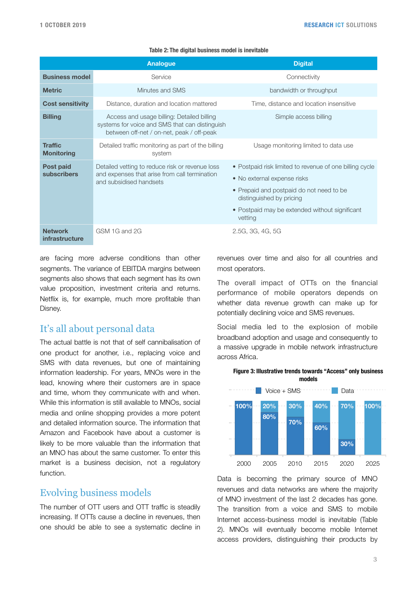|                                     | Analogue                                                                                                                                  | <b>Digital</b>                                                                                                                                                                                                              |  |  |
|-------------------------------------|-------------------------------------------------------------------------------------------------------------------------------------------|-----------------------------------------------------------------------------------------------------------------------------------------------------------------------------------------------------------------------------|--|--|
| <b>Business model</b>               | Service                                                                                                                                   | Connectivity                                                                                                                                                                                                                |  |  |
| <b>Metric</b>                       | Minutes and SMS                                                                                                                           | bandwidth or throughput                                                                                                                                                                                                     |  |  |
| <b>Cost sensitivity</b>             | Distance, duration and location mattered                                                                                                  | Time, distance and location insensitive                                                                                                                                                                                     |  |  |
| <b>Billing</b>                      | Access and usage billing: Detailed billing<br>systems for voice and SMS that can distinguish<br>between off-net / on-net, peak / off-peak | Simple access billing                                                                                                                                                                                                       |  |  |
| <b>Traffic</b><br><b>Monitoring</b> | Detailed traffic monitoring as part of the billing<br>system                                                                              | Usage monitoring limited to data use                                                                                                                                                                                        |  |  |
| Post paid<br>subscribers            | Detailed vetting to reduce risk or revenue loss<br>and expenses that arise from call termination<br>and subsidised handsets               | • Postpaid risk limited to revenue of one billing cycle<br>• No external expense risks<br>• Prepaid and postpaid do not need to be<br>distinguished by pricing<br>• Postpaid may be extended without significant<br>vetting |  |  |
| <b>Network</b><br>infrastructure    | GSM 1G and 2G                                                                                                                             | 2.5G, 3G, 4G, 5G                                                                                                                                                                                                            |  |  |

#### **Table 2: The digital business model is inevitable**

are facing more adverse conditions than other segments. The variance of EBITDA margins between segments also shows that each segment has its own value proposition, investment criteria and returns. Netflix is, for example, much more profitable than Disney.

## It's all about personal data

The actual battle is not that of self cannibalisation of one product for another, i.e., replacing voice and SMS with data revenues, but one of maintaining information leadership. For years, MNOs were in the lead, knowing where their customers are in space and time, whom they communicate with and when. While this information is still available to MNOs, social media and online shopping provides a more potent and detailed information source. The information that Amazon and Facebook have about a customer is likely to be more valuable than the information that an MNO has about the same customer. To enter this market is a business decision, not a regulatory function.

## Evolving business models

The number of OTT users and OTT traffic is steadily increasing. If OTTs cause a decline in revenues, then one should be able to see a systematic decline in revenues over time and also for all countries and most operators.

The overall impact of OTTs on the financial performance of mobile operators depends on whether data revenue growth can make up for potentially declining voice and SMS revenues.

Social media led to the explosion of mobile broadband adoption and usage and consequently to a massive upgrade in mobile network infrastructure across Africa.



2000 2005 2010 2015 2020 2025

**30%**

**Figure 3: Illustrative trends towards "Access" only business** 

Data is becoming the primary source of MNO revenues and data networks are where the majority of MNO investment of the last 2 decades has gone. The transition from a voice and SMS to mobile Internet access-business model is inevitable (Table 2). MNOs will eventually become mobile Internet access providers, distinguishing their products by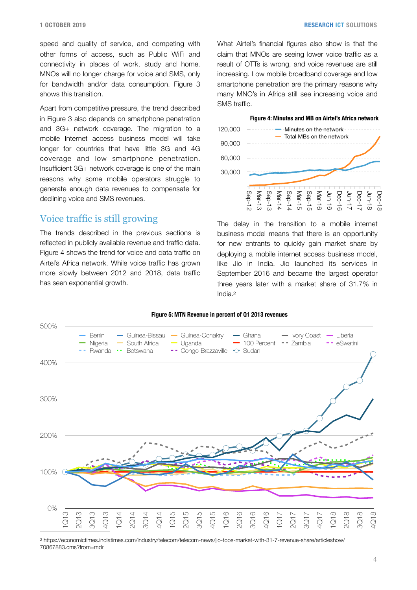speed and quality of service, and competing with other forms of access, such as Public WiFi and connectivity in places of work, study and home. MNOs will no longer charge for voice and SMS, only for bandwidth and/or data consumption. Figure 3 shows this transition.

Apart from competitive pressure, the trend described in Figure 3 also depends on smartphone penetration and 3G+ network coverage. The migration to a mobile Internet access business model will take longer for countries that have little 3G and 4G coverage and low smartphone penetration. Insufficient 3G+ network coverage is one of the main reasons why some mobile operators struggle to generate enough data revenues to compensate for declining voice and SMS revenues.

## Voice traffic is still growing

The trends described in the previous sections is reflected in publicly available revenue and traffic data. Figure 4 shows the trend for voice and data traffic on Airtel's Africa network. While voice traffic has grown more slowly between 2012 and 2018, data traffic has seen exponential growth.

What Airtel's financial figures also show is that the claim that MNOs are seeing lower voice traffic as a result of OTTs is wrong, and voice revenues are still increasing. Low mobile broadband coverage and low smartphone penetration are the primary reasons why many MNO's in Africa still see increasing voice and SMS traffic.



<span id="page-3-1"></span>The delay in the transition to a mobile internet business model means that there is an opportunity for new entrants to quickly gain market share by deploying a mobile internet access business model, like Jio in India. Jio launched its services in September 2016 and became the largest operator three years later with a market share of 31.7% in India[.2](#page-3-0)

#### **Figure 5: MTN Revenue in percent of Q1 2013 revenues**



<span id="page-3-0"></span><sup>[2](#page-3-1)</sup> https://economictimes.indiatimes.com/industry/telecom/telecom-news/jio-tops-market-with-31-7-revenue-share/articleshow/ 70867883.cms?from=mdr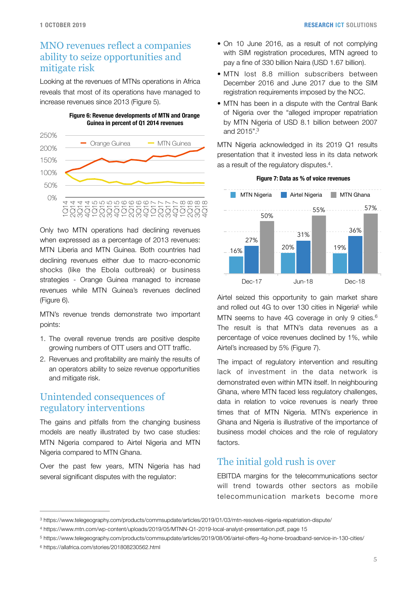## MNO revenues reflect a companies ability to seize opportunities and mitigate risk

Looking at the revenues of MTNs operations in Africa reveals that most of its operations have managed to increase revenues since 2013 (Figure 5).





Only two MTN operations had declining revenues when expressed as a percentage of 2013 revenues: MTN Liberia and MTN Guinea. Both countries had declining revenues either due to macro-economic shocks (like the Ebola outbreak) or business strategies - Orange Guinea managed to increase revenues while MTN Guinea's revenues declined (Figure 6).

MTN's revenue trends demonstrate two important points:

- 1. The overall revenue trends are positive despite growing numbers of OTT users and OTT traffic.
- 2. Revenues and profitability are mainly the results of an operators ability to seize revenue opportunities and mitigate risk.

## Unintended consequences of regulatory interventions

The gains and pitfalls from the changing business models are neatly illustrated by two case studies: MTN Nigeria compared to Airtel Nigeria and MTN Nigeria compared to MTN Ghana.

Over the past few years, MTN Nigeria has had several significant disputes with the regulator:

- On 10 June 2016, as a result of not complying with SIM registration procedures. MTN agreed to pay a fine of 330 billion Naira (USD 1.67 billion).
- MTN lost 8.8 million subscribers between December 2016 and June 2017 due to the SIM registration requirements imposed by the NCC.
- MTN has been in a dispute with the Central Bank of Nigeria over the "alleged improper repatriation by MTN Nigeria of USD 8.1 billion between 2007 and 2015"[.](#page-4-0) [3](#page-4-0)

<span id="page-4-5"></span><span id="page-4-4"></span>MTN Nigeria acknowledged in its 2019 Q1 results presentation that it invested less in its data network as a result of the regulatory disputes. $4$ .



<span id="page-4-7"></span><span id="page-4-6"></span>Airtel seized this opportunity to gain market share and rolled out 4G to over 130 cities in Nigeria<sup>[5](#page-4-2)</sup> while MTN seems to have 4G coverage in only 9 cities.<sup>6</sup> The result is that MTN's data revenues as a percentage of voice revenues declined by 1%, while Airtel's increased by 5% (Figure 7).

The impact of regulatory intervention and resulting lack of investment in the data network is demonstrated even within MTN itself. In neighbouring Ghana, where MTN faced less regulatory challenges, data in relation to voice revenues is nearly three times that of MTN Nigeria. MTN's experience in Ghana and Nigeria is illustrative of the importance of business model choices and the role of regulatory factors.

# The initial gold rush is over

EBITDA margins for the telecommunications sector will trend towards other sectors as mobile telecommunication markets become more

<span id="page-4-0"></span>https://www.telegeography.com/products/commsupdate/articles/2019/01/03/mtn-resolves-nigeria-repatriation-dispute/ [3](#page-4-4)

<span id="page-4-1"></span>[<sup>4</sup>](#page-4-5) https://www.mtn.com/wp-content/uploads/2019/05/MTNN-Q1-2019-local-analyst-presentation.pdf, page 15

<span id="page-4-2"></span>https://www.telegeography.com/products/commsupdate/articles/2019/08/06/airtel-offers-4g-home-broadband-service-in-130-cities/ [5](#page-4-6)

<span id="page-4-3"></span>https://allafrica.com/stories/201808230562.html [6](#page-4-7)